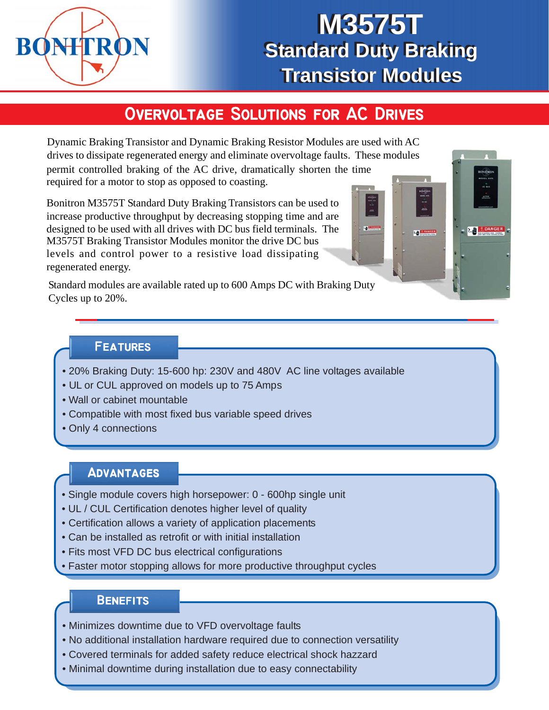

# **M3575T M3575T Standard Duty Braking Standard Duty Braking Transistor Modules Transistor Modules**

# **OVERVOLTAGE SOLUTIONS FOR AC DRIVES**

Dynamic Braking Transistor and Dynamic Braking Resistor Modules are used with AC drives to dissipate regenerated energy and eliminate overvoltage faults. These modules permit controlled braking of the AC drive, dramatically shorten the time required for a motor to stop as opposed to coasting.

Bonitron M3575T Standard Duty Braking Transistors can be used to increase productive throughput by decreasing stopping time and are designed to be used with all drives with DC bus field terminals. The M3575T Braking Transistor Modules monitor the drive DC bus levels and control power to a resistive load dissipating regenerated energy.

Standard modules are available rated up to 600 Amps DC with Braking Duty Cycles up to 20%.

#### **Features Features**

- 20% Braking Duty: 15-600 hp: 230V and 480V AC line voltages available
- UL or CUL approved on models up to 75 Amps
- Wall or cabinet mountable
- Compatible with most fixed bus variable speed drives
- Only 4 connections

### **Advantages**

- Single module covers high horsepower: 0 600hp single unit
- UL / CUL Certification denotes higher level of quality
- Certification allows a variety of application placements
- Can be installed as retrofit or with initial installation
- Fits most VFD DC bus electrical configurations
- Faster motor stopping allows for more productive throughput cycles

#### **Benefits Benefits**

- Minimizes downtime due to VFD overvoltage faults
- No additional installation hardware required due to connection versatility
- Covered terminals for added safety reduce electrical shock hazzard
- Minimal downtime during installation due to easy connectability